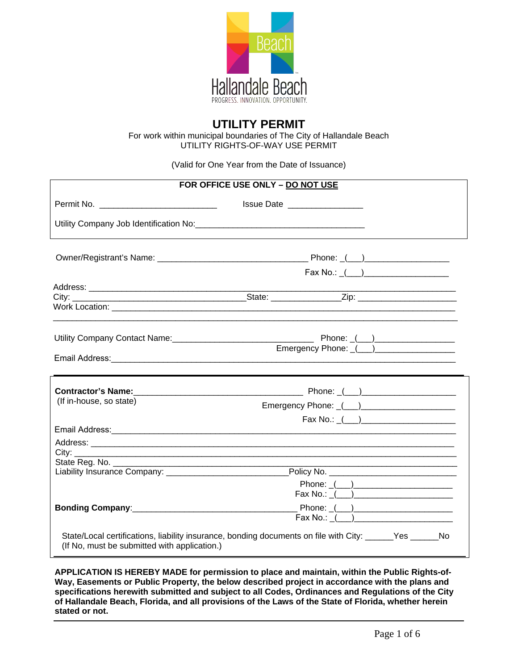

# **UTILITY PERMIT**

For work within municipal boundaries of The City of Hallandale Beach UTILITY RIGHTS-OF-WAY USE PERMIT

(Valid for One Year from the Date of Issuance)

| FOR OFFICE USE ONLY - DO NOT USE             |                                                                                                                                                                                                                                                                                                                                                                                                                                                            |  |  |  |  |
|----------------------------------------------|------------------------------------------------------------------------------------------------------------------------------------------------------------------------------------------------------------------------------------------------------------------------------------------------------------------------------------------------------------------------------------------------------------------------------------------------------------|--|--|--|--|
| Permit No. _______________________________   | Issue Date ___________________                                                                                                                                                                                                                                                                                                                                                                                                                             |  |  |  |  |
|                                              |                                                                                                                                                                                                                                                                                                                                                                                                                                                            |  |  |  |  |
|                                              |                                                                                                                                                                                                                                                                                                                                                                                                                                                            |  |  |  |  |
|                                              |                                                                                                                                                                                                                                                                                                                                                                                                                                                            |  |  |  |  |
|                                              |                                                                                                                                                                                                                                                                                                                                                                                                                                                            |  |  |  |  |
|                                              | Emergency Phone: () ______________                                                                                                                                                                                                                                                                                                                                                                                                                         |  |  |  |  |
|                                              |                                                                                                                                                                                                                                                                                                                                                                                                                                                            |  |  |  |  |
| (If in-house, so state)                      |                                                                                                                                                                                                                                                                                                                                                                                                                                                            |  |  |  |  |
|                                              | $Fax No.: _\_(\underline{\hspace{1cm}})$                                                                                                                                                                                                                                                                                                                                                                                                                   |  |  |  |  |
|                                              |                                                                                                                                                                                                                                                                                                                                                                                                                                                            |  |  |  |  |
|                                              | Liability Insurance Company: ___________________________________Policy No. _________________________                                                                                                                                                                                                                                                                                                                                                       |  |  |  |  |
|                                              | $\begin{tabular}{c}  \quad \quad \textbf{Phone:} \; \underline{\hspace{1cm}} \textcolor{red}{\textbf{(1)} \textbf{2}} \end{tabular}$<br>Fax No.: $\frac{1}{2}$ $\frac{1}{2}$ $\frac{1}{2}$ $\frac{1}{2}$ $\frac{1}{2}$ $\frac{1}{2}$ $\frac{1}{2}$ $\frac{1}{2}$ $\frac{1}{2}$ $\frac{1}{2}$ $\frac{1}{2}$ $\frac{1}{2}$ $\frac{1}{2}$ $\frac{1}{2}$ $\frac{1}{2}$ $\frac{1}{2}$ $\frac{1}{2}$ $\frac{1}{2}$ $\frac{1}{2}$ $\frac{1}{2}$ $\frac{1}{2}$ $\$ |  |  |  |  |
|                                              | $\overline{\mathsf{F}}$ ax No.: $\underline{\begin{array}{ c c c }\n\hline\n\hline\n\end{array}}$                                                                                                                                                                                                                                                                                                                                                          |  |  |  |  |
| (If No, must be submitted with application.) | State/Local certifications, liability insurance, bonding documents on file with City: ______Yes ______No                                                                                                                                                                                                                                                                                                                                                   |  |  |  |  |

**APPLICATION IS HEREBY MADE for permission to place and maintain, within the Public Rights-of-Way, Easements or Public Property, the below described project in accordance with the plans and specifications herewith submitted and subject to all Codes, Ordinances and Regulations of the City of Hallandale Beach, Florida, and all provisions of the Laws of the State of Florida, whether herein stated or not.**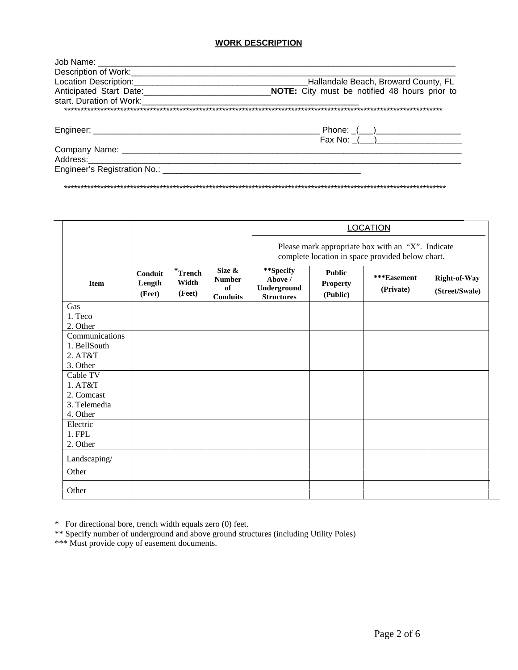## **WORK DESCRIPTION**

| Description of Work: Description of Work:                                                                                                                                                                                     |                                               |  |  |  |
|-------------------------------------------------------------------------------------------------------------------------------------------------------------------------------------------------------------------------------|-----------------------------------------------|--|--|--|
|                                                                                                                                                                                                                               | Hallandale Beach, Broward County, FL          |  |  |  |
| Anticipated Start Date: 1990 1991 1992                                                                                                                                                                                        | NOTE: City must be notified 48 hours prior to |  |  |  |
| start. Duration of Work:                                                                                                                                                                                                      |                                               |  |  |  |
| ************************************                                                                                                                                                                                          |                                               |  |  |  |
|                                                                                                                                                                                                                               |                                               |  |  |  |
|                                                                                                                                                                                                                               |                                               |  |  |  |
|                                                                                                                                                                                                                               |                                               |  |  |  |
|                                                                                                                                                                                                                               |                                               |  |  |  |
| Address: _________                                                                                                                                                                                                            |                                               |  |  |  |
| Engineer's Registration No.: [19] Draging Contract Contract Contract Contract Contract Contract Contract Contract Contract Contract Contract Contract Contract Contract Contract Contract Contract Contract Contract Contract |                                               |  |  |  |

\*\*\*\*\*\*\*\*\*\*\*\*\*\*\*\*\*\*\*\*\*\*\*\*\*\*\*\*\*\*\*\*\*\*\*\*\*\*\*\*\*\*\*\*\*\*\*\*\*\*\*\*\*\*\*\*\*\*\*\*\*\*\*\*\*\*\*\*\*\*\*\*\*\*\*\*\*\*\*\*\*\*\*\*\*\*\*\*\*\*\*\*\*\*\*\*\*\*\*\*\*\*\*\*\*\*\*\*\*\*\*\*\*\*\*\*

|                     |                             |                               |                                                  | <b>LOCATION</b>                                                                                       |                                              |                          |                                |
|---------------------|-----------------------------|-------------------------------|--------------------------------------------------|-------------------------------------------------------------------------------------------------------|----------------------------------------------|--------------------------|--------------------------------|
|                     |                             |                               |                                                  | Please mark appropriate box with an "X". Indicate<br>complete location in space provided below chart. |                                              |                          |                                |
| <b>Item</b>         | Conduit<br>Length<br>(Feet) | $*$ Trench<br>Width<br>(Feet) | Size &<br><b>Number</b><br>of<br><b>Conduits</b> | **Specify<br>Above /<br>Underground<br><b>Structures</b>                                              | <b>Public</b><br><b>Property</b><br>(Public) | ***Easement<br>(Private) | Right-of-Way<br>(Street/Swale) |
| Gas                 |                             |                               |                                                  |                                                                                                       |                                              |                          |                                |
| 1. Teco<br>2. Other |                             |                               |                                                  |                                                                                                       |                                              |                          |                                |
| Communications      |                             |                               |                                                  |                                                                                                       |                                              |                          |                                |
| 1. BellSouth        |                             |                               |                                                  |                                                                                                       |                                              |                          |                                |
| 2. AT&T             |                             |                               |                                                  |                                                                                                       |                                              |                          |                                |
| 3. Other            |                             |                               |                                                  |                                                                                                       |                                              |                          |                                |
| Cable TV            |                             |                               |                                                  |                                                                                                       |                                              |                          |                                |
| 1. A T & T          |                             |                               |                                                  |                                                                                                       |                                              |                          |                                |
| 2. Comcast          |                             |                               |                                                  |                                                                                                       |                                              |                          |                                |
| 3. Telemedia        |                             |                               |                                                  |                                                                                                       |                                              |                          |                                |
| 4. Other            |                             |                               |                                                  |                                                                                                       |                                              |                          |                                |
| Electric            |                             |                               |                                                  |                                                                                                       |                                              |                          |                                |
| 1. FPL              |                             |                               |                                                  |                                                                                                       |                                              |                          |                                |
| 2. Other            |                             |                               |                                                  |                                                                                                       |                                              |                          |                                |
| Landscaping/        |                             |                               |                                                  |                                                                                                       |                                              |                          |                                |
| Other               |                             |                               |                                                  |                                                                                                       |                                              |                          |                                |
| Other               |                             |                               |                                                  |                                                                                                       |                                              |                          |                                |

\* For directional bore, trench width equals zero (0) feet.

\*\* Specify number of underground and above ground structures (including Utility Poles)

\*\*\* Must provide copy of easement documents.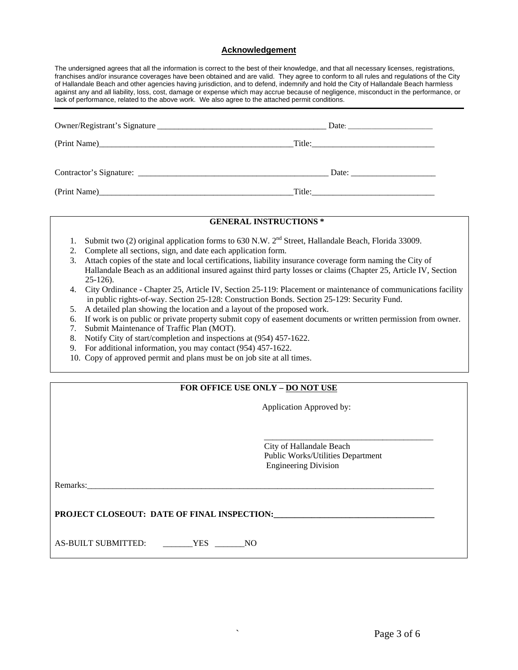#### **Acknowledgement**

The undersigned agrees that all the information is correct to the best of their knowledge, and that all necessary licenses, registrations, franchises and/or insurance coverages have been obtained and are valid. They agree to conform to all rules and regulations of the City of Hallandale Beach and other agencies having jurisdiction, and to defend, indemnify and hold the City of Hallandale Beach harmless against any and all liability, loss, cost, damage or expense which may accrue because of negligence, misconduct in the performance, or lack of performance, related to the above work. We also agree to the attached permit conditions.

|                         | Title:                                                   |
|-------------------------|----------------------------------------------------------|
| Contractor's Signature: | Date: $\frac{1}{\sqrt{1-\frac{1}{2}} \cdot \frac{1}{2}}$ |
|                         | Title:                                                   |

#### **GENERAL INSTRUCTIONS \***

- 1. Submit two (2) original application forms to 630 N.W. 2<sup>nd</sup> Street, Hallandale Beach, Florida 33009.
- 2. Complete all sections, sign, and date each application form.
- 3. Attach copies of the state and local certifications, liability insurance coverage form naming the City of Hallandale Beach as an additional insured against third party losses or claims (Chapter 25, Article IV, Section 25-126).
- 4. City Ordinance Chapter 25, Article IV, Section 25-119: Placement or maintenance of communications facility in public rights-of-way. Section 25-128: Construction Bonds. Section 25-129: Security Fund.
- 5. A detailed plan showing the location and a layout of the proposed work.
- 6. If work is on public or private property submit copy of easement documents or written permission from owner.
- 7. Submit Maintenance of Traffic Plan (MOT).
- 8. Notify City of start/completion and inspections at (954) 457-1622.
- 9. For additional information, you may contact (954) 457-1622.
- 10. Copy of approved permit and plans must be on job site at all times.

## **FOR OFFICE USE ONLY – DO NOT USE**

Application Approved by:

 City of Hallandale Beach Public Works/Utilities Department Engineering Division

\_\_\_\_\_\_\_\_\_\_\_\_\_\_\_\_\_\_\_\_\_\_\_\_\_\_\_\_\_\_\_\_\_\_\_\_\_\_\_\_

Remarks:\_\_\_\_\_\_\_\_\_\_\_\_\_\_\_\_\_\_\_\_\_\_\_\_\_\_\_\_\_\_\_\_\_\_\_\_\_\_\_\_\_\_\_\_\_\_\_\_\_\_\_\_\_\_\_\_\_\_\_\_\_\_\_\_\_\_\_\_\_\_\_\_\_\_\_\_\_\_\_\_\_\_

## **PROJECT CLOSEOUT: DATE OF FINAL INSPECTION:\_\_\_\_\_\_\_\_\_\_\_\_\_\_\_\_\_\_\_\_\_\_\_\_\_\_\_\_\_\_\_\_\_\_\_\_\_\_**

AS-BUILT SUBMITTED: \_\_\_\_\_\_\_YES \_\_\_\_\_\_\_NO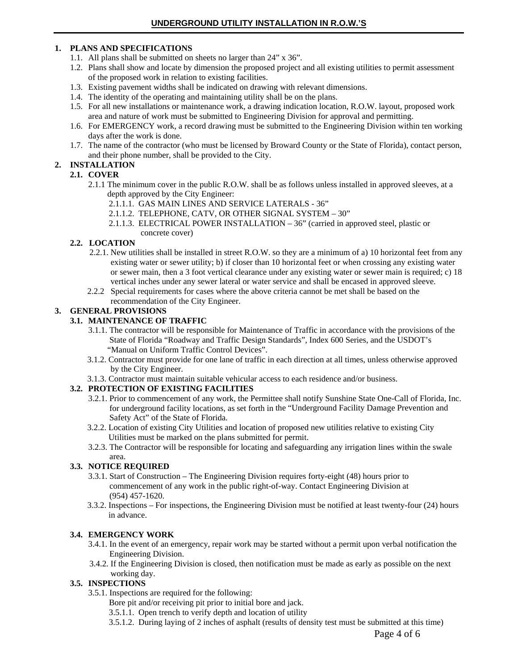## **1. PLANS AND SPECIFICATIONS**

- 1.1. All plans shall be submitted on sheets no larger than 24" x 36".
- 1.2. Plans shall show and locate by dimension the proposed project and all existing utilities to permit assessment of the proposed work in relation to existing facilities.
- 1.3. Existing pavement widths shall be indicated on drawing with relevant dimensions.
- 1.4. The identity of the operating and maintaining utility shall be on the plans.
- 1.5. For all new installations or maintenance work, a drawing indication location, R.O.W. layout, proposed work area and nature of work must be submitted to Engineering Division for approval and permitting.
- 1.6. For EMERGENCY work, a record drawing must be submitted to the Engineering Division within ten working days after the work is done.
- 1.7. The name of the contractor (who must be licensed by Broward County or the State of Florida), contact person, and their phone number, shall be provided to the City.

## **2. INSTALLATION**

## **2.1. COVER**

- 2.1.1 The minimum cover in the public R.O.W. shall be as follows unless installed in approved sleeves, at a depth approved by the City Engineer:
	- 2.1.1.1. GAS MAIN LINES AND SERVICE LATERALS 36"
	- 2.1.1.2. TELEPHONE, CATV, OR OTHER SIGNAL SYSTEM 30"
	- 2.1.1.3. ELECTRICAL POWER INSTALLATION 36" (carried in approved steel, plastic or concrete cover)

## **2.2. LOCATION**

- 2.2.1. New utilities shall be installed in street R.O.W. so they are a minimum of a) 10 horizontal feet from any existing water or sewer utility; b) if closer than 10 horizontal feet or when crossing any existing water or sewer main, then a 3 foot vertical clearance under any existing water or sewer main is required; c) 18 vertical inches under any sewer lateral or water service and shall be encased in approved sleeve.
- 2.2.2 Special requirements for cases where the above criteria cannot be met shall be based on the recommendation of the City Engineer.

## **3. GENERAL PROVISIONS**

## **3.1. MAINTENANCE OF TRAFFIC**

- 3.1.1. The contractor will be responsible for Maintenance of Traffic in accordance with the provisions of the State of Florida "Roadway and Traffic Design Standards", Index 600 Series, and the USDOT's "Manual on Uniform Traffic Control Devices".
- 3.1.2. Contractor must provide for one lane of traffic in each direction at all times, unless otherwise approved by the City Engineer.
- 3.1.3. Contractor must maintain suitable vehicular access to each residence and/or business.

## **3.2. PROTECTION OF EXISTING FACILITIES**

- 3.2.1. Prior to commencement of any work, the Permittee shall notify Sunshine State One-Call of Florida, Inc. for underground facility locations, as set forth in the "Underground Facility Damage Prevention and Safety Act" of the State of Florida.
- 3.2.2. Location of existing City Utilities and location of proposed new utilities relative to existing City Utilities must be marked on the plans submitted for permit.
- 3.2.3. The Contractor will be responsible for locating and safeguarding any irrigation lines within the swale area.

## **3.3. NOTICE REQUIRED**

- 3.3.1. Start of Construction The Engineering Division requires forty-eight (48) hours prior to commencement of any work in the public right-of-way. Contact Engineering Division at (954) 457-1620.
- 3.3.2. Inspections For inspections, the Engineering Division must be notified at least twenty-four (24) hours in advance.

## **3.4. EMERGENCY WORK**

- 3.4.1. In the event of an emergency, repair work may be started without a permit upon verbal notification the Engineering Division.
- 3.4.2. If the Engineering Division is closed, then notification must be made as early as possible on the next working day.

## **3.5. INSPECTIONS**

3.5.1. Inspections are required for the following:

Bore pit and/or receiving pit prior to initial bore and jack.

- 3.5.1.1. Open trench to verify depth and location of utility
- 3.5.1.2. During laying of 2 inches of asphalt (results of density test must be submitted at this time)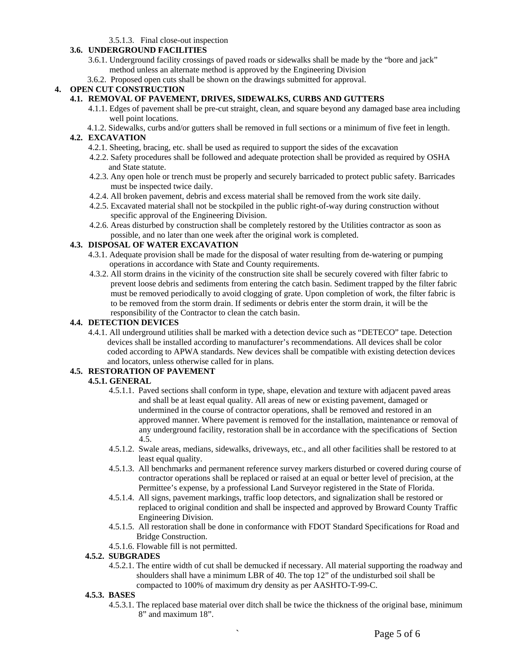#### 3.5.1.3. Final close-out inspection

## **3.6. UNDERGROUND FACILITIES**

- 3.6.1. Underground facility crossings of paved roads or sidewalks shall be made by the "bore and jack" method unless an alternate method is approved by the Engineering Division
- 3.6.2. Proposed open cuts shall be shown on the drawings submitted for approval.

#### **4. OPEN CUT CONSTRUCTION**

- **4.1. REMOVAL OF PAVEMENT, DRIVES, SIDEWALKS, CURBS AND GUTTERS**
	- 4.1.1. Edges of pavement shall be pre-cut straight, clean, and square beyond any damaged base area including well point locations.
	- 4.1.2. Sidewalks, curbs and/or gutters shall be removed in full sections or a minimum of five feet in length.

#### **4.2. EXCAVATION**

- 4.2.1. Sheeting, bracing, etc. shall be used as required to support the sides of the excavation
- 4.2.2. Safety procedures shall be followed and adequate protection shall be provided as required by OSHA and State statute.
- 4.2.3. Any open hole or trench must be properly and securely barricaded to protect public safety. Barricades must be inspected twice daily.
- 4.2.4. All broken pavement, debris and excess material shall be removed from the work site daily.
- 4.2.5. Excavated material shall not be stockpiled in the public right-of-way during construction without specific approval of the Engineering Division.
- 4.2.6. Areas disturbed by construction shall be completely restored by the Utilities contractor as soon as possible, and no later than one week after the original work is completed.

#### **4.3. DISPOSAL OF WATER EXCAVATION**

- 4.3.1. Adequate provision shall be made for the disposal of water resulting from de-watering or pumping operations in accordance with State and County requirements.
- 4.3.2. All storm drains in the vicinity of the construction site shall be securely covered with filter fabric to prevent loose debris and sediments from entering the catch basin. Sediment trapped by the filter fabric must be removed periodically to avoid clogging of grate. Upon completion of work, the filter fabric is to be removed from the storm drain. If sediments or debris enter the storm drain, it will be the responsibility of the Contractor to clean the catch basin.

#### **4.4. DETECTION DEVICES**

4.4.1. All underground utilities shall be marked with a detection device such as "DETECO" tape. Detection devices shall be installed according to manufacturer's recommendations. All devices shall be color coded according to APWA standards. New devices shall be compatible with existing detection devices and locators, unless otherwise called for in plans.

#### **4.5. RESTORATION OF PAVEMENT**

#### **4.5.1. GENERAL**

- 4.5.1.1. Paved sections shall conform in type, shape, elevation and texture with adjacent paved areas and shall be at least equal quality. All areas of new or existing pavement, damaged or undermined in the course of contractor operations, shall be removed and restored in an approved manner. Where pavement is removed for the installation, maintenance or removal of any underground facility, restoration shall be in accordance with the specifications of Section 4.5.
- 4.5.1.2. Swale areas, medians, sidewalks, driveways, etc., and all other facilities shall be restored to at least equal quality.
- 4.5.1.3. All benchmarks and permanent reference survey markers disturbed or covered during course of contractor operations shall be replaced or raised at an equal or better level of precision, at the Permittee's expense, by a professional Land Surveyor registered in the State of Florida.
- 4.5.1.4. All signs, pavement markings, traffic loop detectors, and signalization shall be restored or replaced to original condition and shall be inspected and approved by Broward County Traffic Engineering Division.
- 4.5.1.5. All restoration shall be done in conformance with FDOT Standard Specifications for Road and Bridge Construction.
- 4.5.1.6. Flowable fill is not permitted.

#### **4.5.2. SUBGRADES**

 4.5.2.1. The entire width of cut shall be demucked if necessary. All material supporting the roadway and shoulders shall have a minimum LBR of 40. The top 12" of the undisturbed soil shall be compacted to 100% of maximum dry density as per AASHTO-T-99-C.

#### **4.5.3. BASES**

 4.5.3.1. The replaced base material over ditch shall be twice the thickness of the original base, minimum 8" and maximum 18".